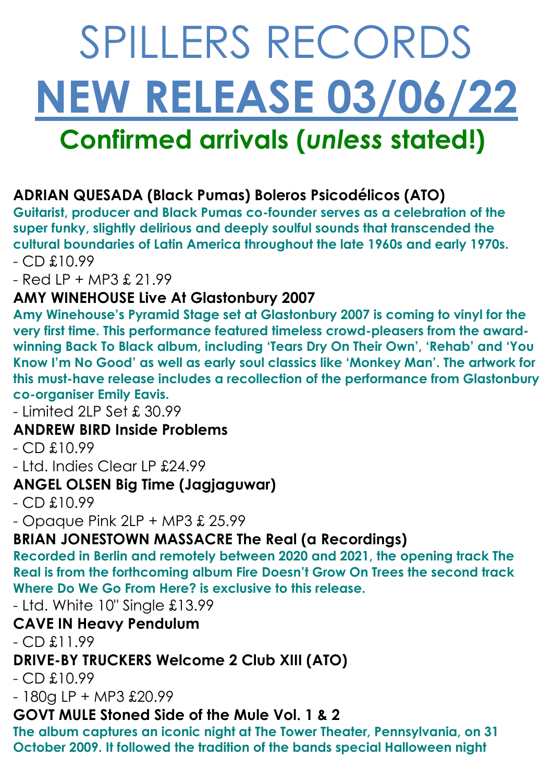# SPILLERS RECORDS **NEW RELEASE 03/06/22 Confirmed arrivals (***unless* **stated!)**

## **ADRIAN QUESADA (Black Pumas) Boleros Psicodélicos (ATO)**

**Guitarist, producer and Black Pumas co-founder serves as a celebration of the super funky, slightly delirious and deeply soulful sounds that transcended the cultural boundaries of Latin America throughout the late 1960s and early 1970s.** - CD £10.99

- Red LP + MP3 £ 21.99

#### **AMY WINEHOUSE Live At Glastonbury 2007**

**Amy Winehouse's Pyramid Stage set at Glastonbury 2007 is coming to vinyl for the very first time. This performance featured timeless crowd-pleasers from the awardwinning Back To Black album, including 'Tears Dry On Their Own', 'Rehab' and 'You Know I'm No Good' as well as early soul classics like 'Monkey Man'. The artwork for this must-have release includes a recollection of the performance from Glastonbury co-organiser Emily Eavis.**

- Limited 2LP Set £ 30.99

#### **ANDREW BIRD Inside Problems**

 $-$  CD  $£10.99$ 

- Ltd. Indies Clear LP £24.99

#### **ANGEL OLSEN Big Time (Jagjaguwar)**

 $-$  CD  $£10.99$ 

 $-$  Opaque Pink 2LP  $+$  MP3  $\pounds$  25.99

#### **BRIAN JONESTOWN MASSACRE The Real (a Recordings)**

**Recorded in Berlin and remotely between 2020 and 2021, the opening track The Real is from the forthcoming album Fire Doesn't Grow On Trees the second track Where Do We Go From Here? is exclusive to this release.**

- Ltd. White 10" Single £13.99

#### **CAVE IN Heavy Pendulum**

 $-$  CD  $£11.99$ 

#### **DRIVE-BY TRUCKERS Welcome 2 Club XIII (ATO)**

 $-$  CD  $£10.99$ 

- 180g LP + MP3 £20.99

#### **GOVT MULE Stoned Side of the Mule Vol. 1 & 2**

**The album captures an iconic night at The Tower Theater, Pennsylvania, on 31 October 2009. It followed the tradition of the bands special Halloween night**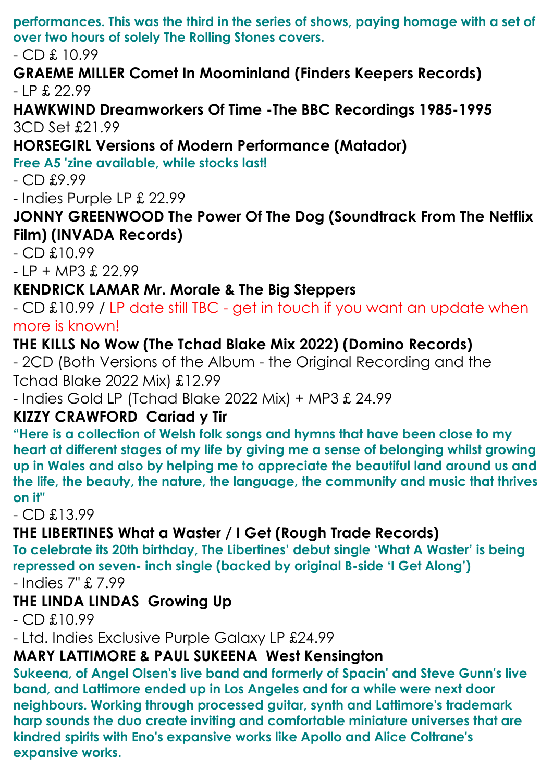**performances. This was the third in the series of shows, paying homage with a set of over two hours of solely The Rolling Stones covers.**

- CD £ 10.99

#### **GRAEME MILLER Comet In Moominland (Finders Keepers Records)**   $-$  IP  $f. 22.99$

#### **HAWKWIND Dreamworkers Of Time -The BBC Recordings 1985-1995**  3CD Set £21.99

## **HORSEGIRL Versions of Modern Performance (Matador)**

**Free A5 'zine available, while stocks last!**

- CD £9.99

- Indies Purple LP £ 22.99

### **JONNY GREENWOOD The Power Of The Dog (Soundtrack From The Netflix Film) (INVADA Records)**

- CD £10.99

 $- IP + MP3 £ 22.99$ 

# **KENDRICK LAMAR Mr. Morale & The Big Steppers**

- CD £10.99 / LP date still TBC - get in touch if you want an update when more is known!

## **THE KILLS No Wow (The Tchad Blake Mix 2022) (Domino Records)**

- 2CD (Both Versions of the Album - the Original Recording and the Tchad Blake 2022 Mix) £12.99

- Indies Gold LP (Tchad Blake 2022 Mix) + MP3 £ 24.99

## **KIZZY CRAWFORD Cariad y Tir**

**"Here is a collection of Welsh folk songs and hymns that have been close to my heart at different stages of my life by giving me a sense of belonging whilst growing up in Wales and also by helping me to appreciate the beautiful land around us and the life, the beauty, the nature, the language, the community and music that thrives on it"**

- CD £13.99

### **THE LIBERTINES What a Waster / I Get (Rough Trade Records)**

**To celebrate its 20th birthday, The Libertines' debut single 'What A Waster' is being repressed on seven- inch single (backed by original B-side 'I Get Along')**

- Indies 7" £ 7.99

## **THE LINDA LINDAS Growing Up**

 $-$  CD  $£10.99$ 

- Ltd. Indies Exclusive Purple Galaxy LP £24.99

## **MARY LATTIMORE & PAUL SUKEENA West Kensington**

**Sukeena, of Angel Olsen's live band and formerly of Spacin' and Steve Gunn's live band, and Lattimore ended up in Los Angeles and for a while were next door neighbours. Working through processed guitar, synth and Lattimore's trademark harp sounds the duo create inviting and comfortable miniature universes that are kindred spirits with Eno's expansive works like Apollo and Alice Coltrane's expansive works.**